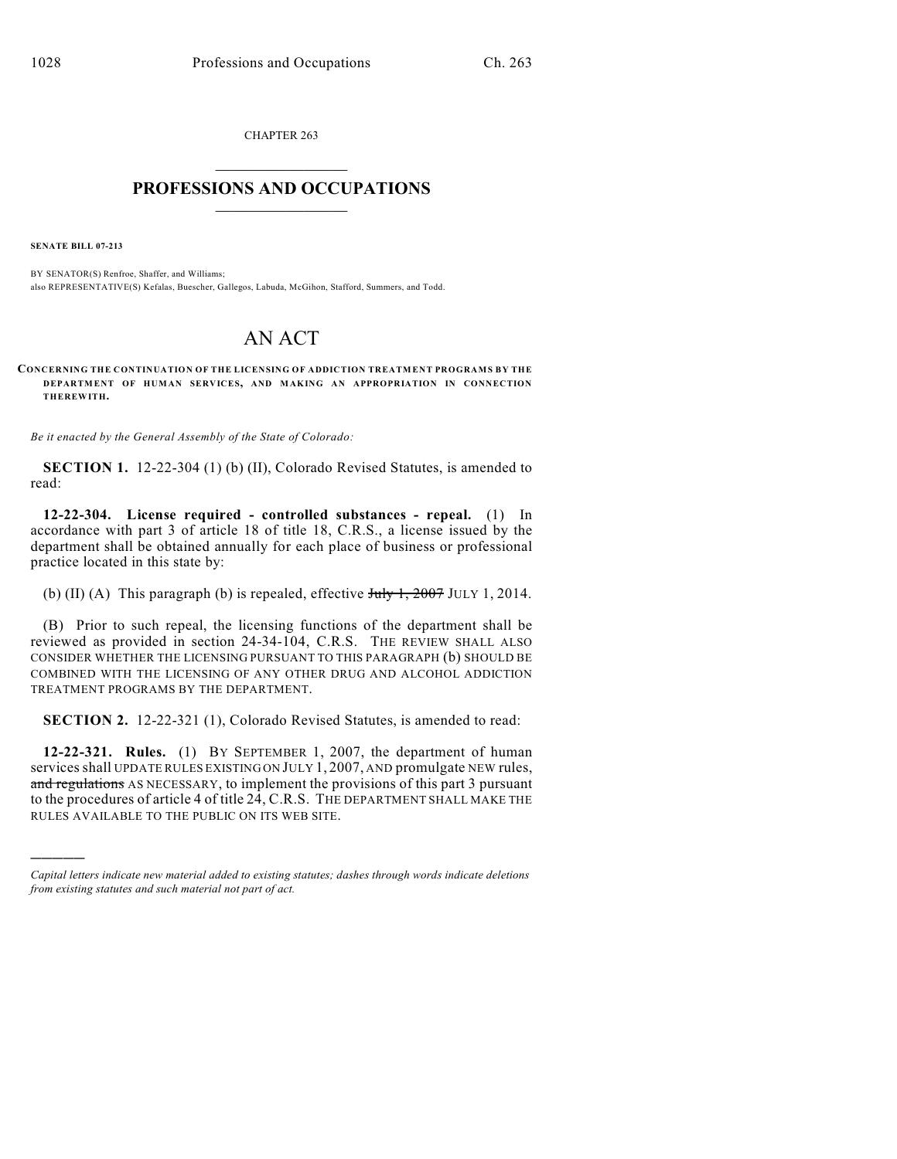CHAPTER 263  $\overline{\phantom{a}}$  . The set of the set of the set of the set of the set of the set of the set of the set of the set of the set of the set of the set of the set of the set of the set of the set of the set of the set of the set o

## **PROFESSIONS AND OCCUPATIONS**  $\frac{1}{2}$  ,  $\frac{1}{2}$  ,  $\frac{1}{2}$  ,  $\frac{1}{2}$  ,  $\frac{1}{2}$  ,  $\frac{1}{2}$

**SENATE BILL 07-213**

)))))

BY SENATOR(S) Renfroe, Shaffer, and Williams; also REPRESENTATIVE(S) Kefalas, Buescher, Gallegos, Labuda, McGihon, Stafford, Summers, and Todd.

## AN ACT

**CONCERNING THE CONTINUATION OF THE LICENSING OF ADDICTION TREATMENT PROGRAMS BY THE DEPARTMENT OF HUMAN SERVICES, AND MAKING AN APPROPRIATION IN CONNECTION THEREWITH.**

*Be it enacted by the General Assembly of the State of Colorado:*

**SECTION 1.** 12-22-304 (1) (b) (II), Colorado Revised Statutes, is amended to read:

**12-22-304. License required - controlled substances - repeal.** (1) In accordance with part 3 of article 18 of title 18, C.R.S., a license issued by the department shall be obtained annually for each place of business or professional practice located in this state by:

(b) (II) (A) This paragraph (b) is repealed, effective  $J_{\text{uly}}$  1, 2007 JULY 1, 2014.

(B) Prior to such repeal, the licensing functions of the department shall be reviewed as provided in section 24-34-104, C.R.S. THE REVIEW SHALL ALSO CONSIDER WHETHER THE LICENSING PURSUANT TO THIS PARAGRAPH (b) SHOULD BE COMBINED WITH THE LICENSING OF ANY OTHER DRUG AND ALCOHOL ADDICTION TREATMENT PROGRAMS BY THE DEPARTMENT.

**SECTION 2.** 12-22-321 (1), Colorado Revised Statutes, is amended to read:

**12-22-321. Rules.** (1) BY SEPTEMBER 1, 2007, the department of human services shall UPDATE RULES EXISTING ON JULY 1, 2007, AND promulgate NEW rules, and regulations AS NECESSARY, to implement the provisions of this part 3 pursuant to the procedures of article 4 of title 24, C.R.S. THE DEPARTMENT SHALL MAKE THE RULES AVAILABLE TO THE PUBLIC ON ITS WEB SITE.

*Capital letters indicate new material added to existing statutes; dashes through words indicate deletions from existing statutes and such material not part of act.*